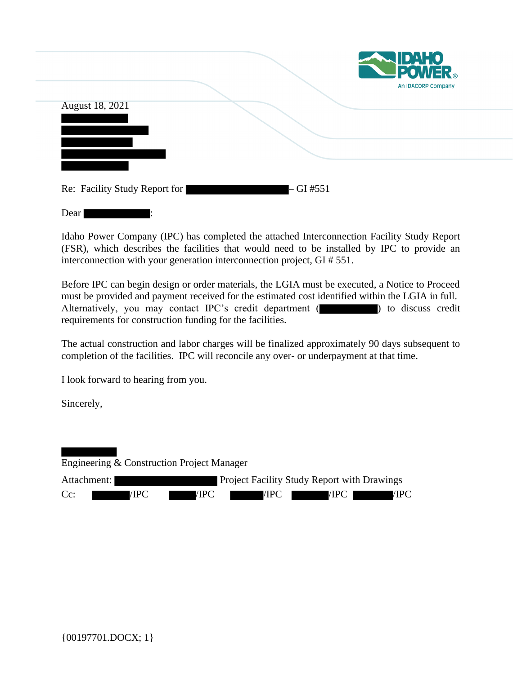|                 |  | <b>EXAMPLE POWER</b><br>An IDACORP Company |
|-----------------|--|--------------------------------------------|
| August 18, 2021 |  |                                            |
|                 |  |                                            |
|                 |  |                                            |
|                 |  |                                            |

|--|--|

Idaho Power Company (IPC) has completed the attached Interconnection Facility Study Report (FSR), which describes the facilities that would need to be installed by IPC to provide an interconnection with your generation interconnection project, GI # 551.

Before IPC can begin design or order materials, the LGIA must be executed, a Notice to Proceed must be provided and payment received for the estimated cost identified within the LGIA in full. Alternatively, you may contact IPC's credit department ( ) to discuss credit requirements for construction funding for the facilities.

The actual construction and labor charges will be finalized approximately 90 days subsequent to completion of the facilities. IPC will reconcile any over- or underpayment at that time.

I look forward to hearing from you.

Dear :

Sincerely,

Engineering & Construction Project Manager

| Attachment: |      |      | <b>Project Facility Study Report with Drawings</b> |      |      |
|-------------|------|------|----------------------------------------------------|------|------|
| $Cc$ :      | /IPC | /IPC | /IPC                                               | /IPC | /IPC |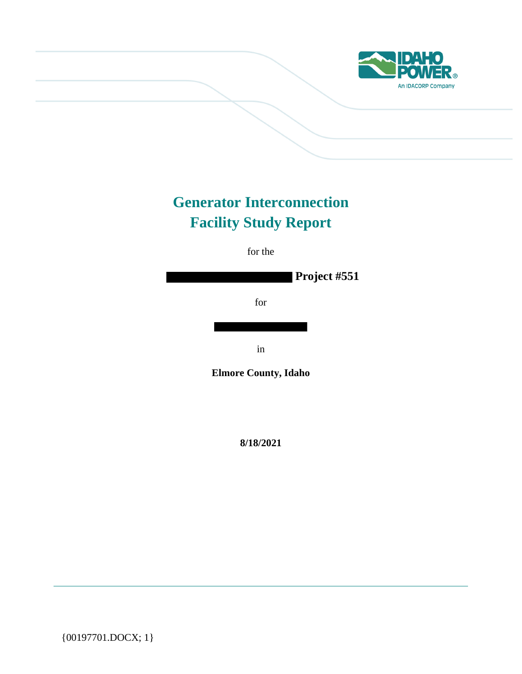

# **Generator Interconnection Facility Study Report**

for the

**Project #551**

for

in

**Elmore County, Idaho**

**8/18/2021**

{00197701.DOCX; 1}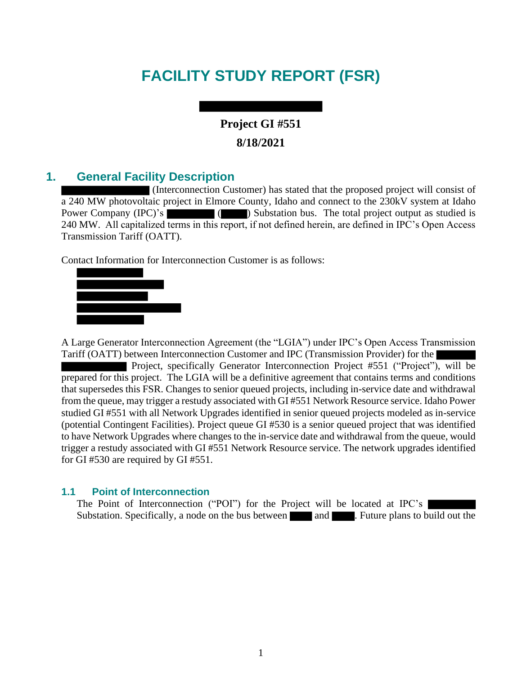# **FACILITY STUDY REPORT (FSR)**

## **Project GI #551 8/18/2021**

## **1. General Facility Description**

(Interconnection Customer) has stated that the proposed project will consist of a 240 MW photovoltaic project in Elmore County, Idaho and connect to the 230kV system at Idaho Power Company (IPC)'s ( ) Substation bus. The total project output as studied is 240 MW. All capitalized terms in this report, if not defined herein, are defined in IPC's Open Access Transmission Tariff (OATT).

Contact Information for Interconnection Customer is as follows:



A Large Generator Interconnection Agreement (the "LGIA") under IPC's Open Access Transmission Tariff (OATT) between Interconnection Customer and IPC (Transmission Provider) for the

Project, specifically Generator Interconnection Project #551 ("Project"), will be prepared for this project. The LGIA will be a definitive agreement that contains terms and conditions that supersedes this FSR. Changes to senior queued projects, including in-service date and withdrawal from the queue, may trigger a restudy associated with GI #551 Network Resource service. Idaho Power studied GI #551 with all Network Upgrades identified in senior queued projects modeled as in-service (potential Contingent Facilities). Project queue GI #530 is a senior queued project that was identified to have Network Upgrades where changes to the in-service date and withdrawal from the queue, would trigger a restudy associated with GI #551 Network Resource service. The network upgrades identified for GI #530 are required by GI #551.

#### **1.1 Point of Interconnection**

The Point of Interconnection ("POI") for the Project will be located at IPC's Substation. Specifically, a node on the bus between and **and** . Future plans to build out the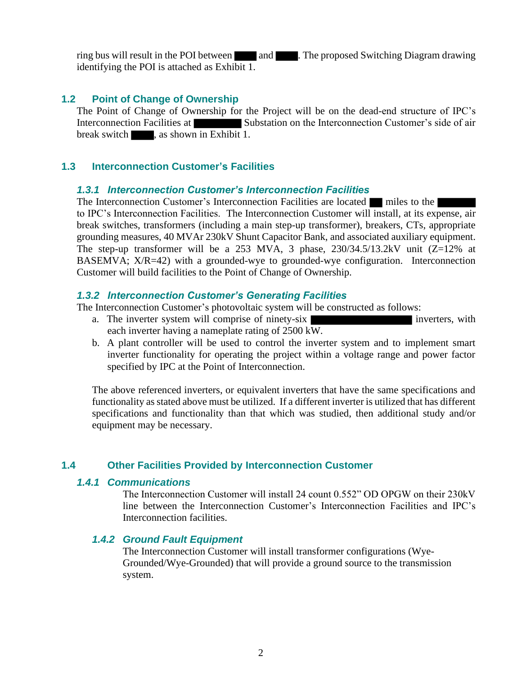ring bus will result in the POI between and . The proposed Switching Diagram drawing identifying the POI is attached as Exhibit 1.

#### **1.2 Point of Change of Ownership**

The Point of Change of Ownership for the Project will be on the dead-end structure of IPC's Interconnection Facilities at Substation on the Interconnection Customer's side of air break switch see as shown in Exhibit 1.

#### **1.3 Interconnection Customer's Facilities**

#### *1.3.1 Interconnection Customer's Interconnection Facilities*

The Interconnection Customer's Interconnection Facilities are located miles to the to IPC's Interconnection Facilities. The Interconnection Customer will install, at its expense, air break switches, transformers (including a main step-up transformer), breakers, CTs, appropriate grounding measures, 40 MVAr 230kV Shunt Capacitor Bank, and associated auxiliary equipment. The step-up transformer will be a 253 MVA, 3 phase,  $230/34.5/13.2kV$  unit  $(Z=12\%$  at BASEMVA; X/R=42) with a grounded-wye to grounded-wye configuration. Interconnection Customer will build facilities to the Point of Change of Ownership.

#### *1.3.2 Interconnection Customer's Generating Facilities*

The Interconnection Customer's photovoltaic system will be constructed as follows:

- a. The inverter system will comprise of ninety-six **inverters** inverters, with each inverter having a nameplate rating of 2500 kW.
- b. A plant controller will be used to control the inverter system and to implement smart inverter functionality for operating the project within a voltage range and power factor specified by IPC at the Point of Interconnection.

The above referenced inverters, or equivalent inverters that have the same specifications and functionality as stated above must be utilized. If a different inverter is utilized that has different specifications and functionality than that which was studied, then additional study and/or equipment may be necessary.

#### **1.4 Other Facilities Provided by Interconnection Customer**

#### *1.4.1 Communications*

The Interconnection Customer will install 24 count 0.552" OD OPGW on their 230kV line between the Interconnection Customer's Interconnection Facilities and IPC's Interconnection facilities.

#### *1.4.2 Ground Fault Equipment*

The Interconnection Customer will install transformer configurations (Wye-Grounded/Wye-Grounded) that will provide a ground source to the transmission system.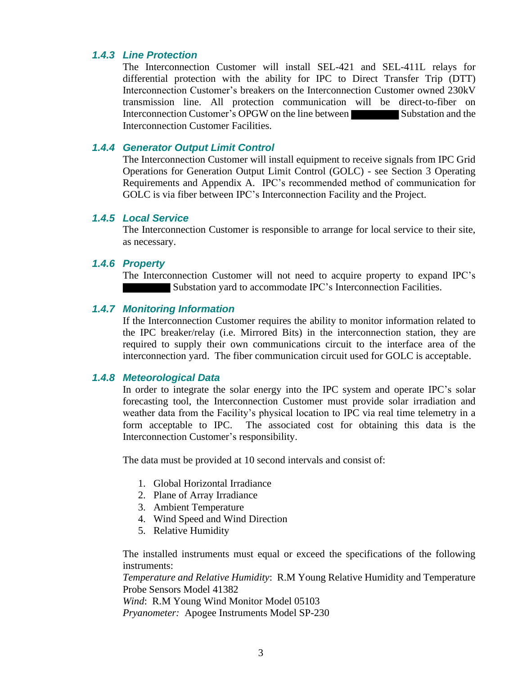#### *1.4.3 Line Protection*

The Interconnection Customer will install SEL-421 and SEL-411L relays for differential protection with the ability for IPC to Direct Transfer Trip (DTT) Interconnection Customer's breakers on the Interconnection Customer owned 230kV transmission line. All protection communication will be direct-to-fiber on Interconnection Customer's OPGW on the line between Substation and the Interconnection Customer Facilities.

#### *1.4.4 Generator Output Limit Control*

The Interconnection Customer will install equipment to receive signals from IPC Grid Operations for Generation Output Limit Control (GOLC) - see Section 3 Operating Requirements and Appendix A. IPC's recommended method of communication for GOLC is via fiber between IPC's Interconnection Facility and the Project.

#### *1.4.5 Local Service*

The Interconnection Customer is responsible to arrange for local service to their site, as necessary.

#### *1.4.6 Property*

The Interconnection Customer will not need to acquire property to expand IPC's Substation yard to accommodate IPC's Interconnection Facilities.

#### *1.4.7 Monitoring Information*

If the Interconnection Customer requires the ability to monitor information related to the IPC breaker/relay (i.e. Mirrored Bits) in the interconnection station, they are required to supply their own communications circuit to the interface area of the interconnection yard. The fiber communication circuit used for GOLC is acceptable.

#### *1.4.8 Meteorological Data*

In order to integrate the solar energy into the IPC system and operate IPC's solar forecasting tool, the Interconnection Customer must provide solar irradiation and weather data from the Facility's physical location to IPC via real time telemetry in a form acceptable to IPC. The associated cost for obtaining this data is the Interconnection Customer's responsibility.

The data must be provided at 10 second intervals and consist of:

- 1. Global Horizontal Irradiance
- 2. Plane of Array Irradiance
- 3. Ambient Temperature
- 4. Wind Speed and Wind Direction
- 5. Relative Humidity

The installed instruments must equal or exceed the specifications of the following instruments:

*Temperature and Relative Humidity*: R.M Young Relative Humidity and Temperature Probe Sensors Model 41382

*Wind*: R.M Young Wind Monitor Model 05103 *Pryanometer:* Apogee Instruments Model SP-230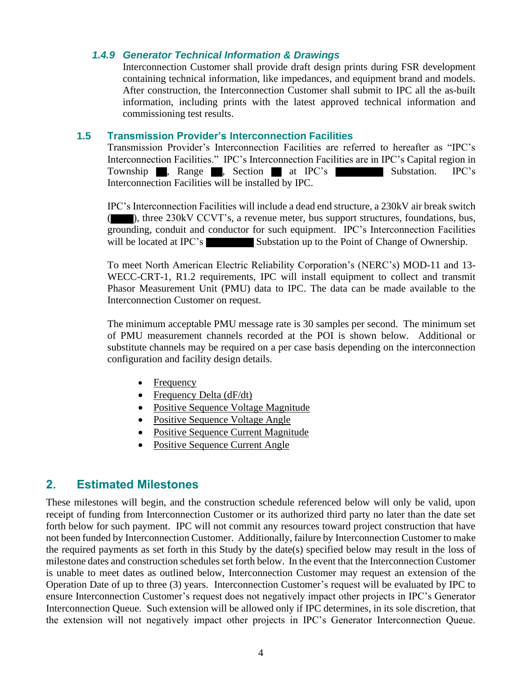#### *1.4.9 Generator Technical Information & Drawings*

Interconnection Customer shall provide draft design prints during FSR development containing technical information, like impedances, and equipment brand and models. After construction, the Interconnection Customer shall submit to IPC all the as-built information, including prints with the latest approved technical information and commissioning test results.

#### **1.5 Transmission Provider's Interconnection Facilities**

Transmission Provider's Interconnection Facilities are referred to hereafter as "IPC's Interconnection Facilities." IPC's Interconnection Facilities are in IPC's Capital region in Township , Range , Section at IPC's Substation. IPC's Interconnection Facilities will be installed by IPC.

IPC's Interconnection Facilities will include a dead end structure, a 230kV air break switch ), three 230kV CCVT's, a revenue meter, bus support structures, foundations, bus, grounding, conduit and conductor for such equipment. IPC's Interconnection Facilities will be located at IPC's Substation up to the Point of Change of Ownership.

To meet North American Electric Reliability Corporation's (NERC's) MOD-11 and 13- WECC-CRT-1, R1.2 requirements, IPC will install equipment to collect and transmit Phasor Measurement Unit (PMU) data to IPC. The data can be made available to the Interconnection Customer on request.

The minimum acceptable PMU message rate is 30 samples per second. The minimum set of PMU measurement channels recorded at the POI is shown below. Additional or substitute channels may be required on a per case basis depending on the interconnection configuration and facility design details.

- Frequency
- Frequency Delta  $(dF/dt)$
- Positive Sequence Voltage Magnitude
- Positive Sequence Voltage Angle
- Positive Sequence Current Magnitude
- Positive Sequence Current Angle

## **2. Estimated Milestones**

These milestones will begin, and the construction schedule referenced below will only be valid, upon receipt of funding from Interconnection Customer or its authorized third party no later than the date set forth below for such payment. IPC will not commit any resources toward project construction that have not been funded by Interconnection Customer. Additionally, failure by Interconnection Customer to make the required payments as set forth in this Study by the date(s) specified below may result in the loss of milestone dates and construction schedules set forth below. In the event that the Interconnection Customer is unable to meet dates as outlined below, Interconnection Customer may request an extension of the Operation Date of up to three (3) years. Interconnection Customer's request will be evaluated by IPC to ensure Interconnection Customer's request does not negatively impact other projects in IPC's Generator Interconnection Queue. Such extension will be allowed only if IPC determines, in its sole discretion, that the extension will not negatively impact other projects in IPC's Generator Interconnection Queue.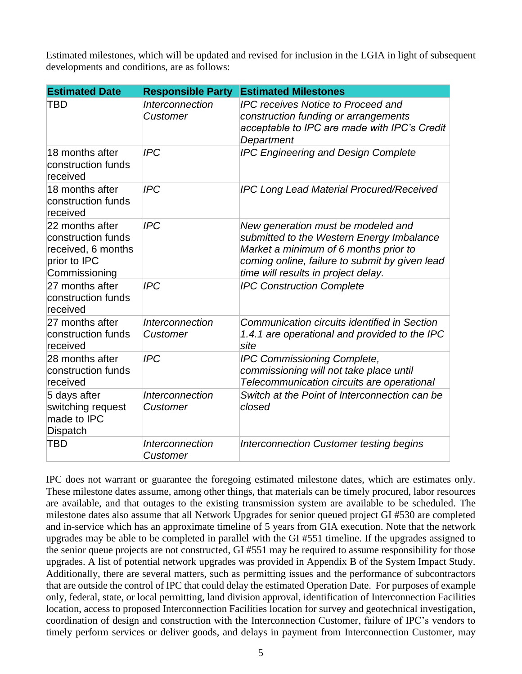Estimated milestones, which will be updated and revised for inclusion in the LGIA in light of subsequent developments and conditions, are as follows:

| <b>Estimated Date</b>                                                                        | <b>Responsible Party</b>                  | <b>Estimated Milestones</b>                                                                                                                                                                                       |
|----------------------------------------------------------------------------------------------|-------------------------------------------|-------------------------------------------------------------------------------------------------------------------------------------------------------------------------------------------------------------------|
| TBD                                                                                          | <i><b>Interconnection</b></i><br>Customer | <b>IPC receives Notice to Proceed and</b><br>construction funding or arrangements<br>acceptable to IPC are made with IPC's Credit<br>Department                                                                   |
| 18 months after<br>construction funds<br>received                                            | <b>IPC</b>                                | <b>IPC Engineering and Design Complete</b>                                                                                                                                                                        |
| 18 months after<br>construction funds<br>received                                            | <b>IPC</b>                                | <b>IPC Long Lead Material Procured/Received</b>                                                                                                                                                                   |
| 22 months after<br>construction funds<br>received, 6 months<br>prior to IPC<br>Commissioning | <b>IPC</b>                                | New generation must be modeled and<br>submitted to the Western Energy Imbalance<br>Market a minimum of 6 months prior to<br>coming online, failure to submit by given lead<br>time will results in project delay. |
| 27 months after<br>construction funds<br>received                                            | <b>IPC</b>                                | <b>IPC Construction Complete</b>                                                                                                                                                                                  |
| 27 months after<br>construction funds<br>received                                            | <i><b>Interconnection</b></i><br>Customer | Communication circuits identified in Section<br>1.4.1 are operational and provided to the IPC<br>site                                                                                                             |
| 28 months after<br>construction funds<br>received                                            | <b>IPC</b>                                | IPC Commissioning Complete,<br>commissioning will not take place until<br>Telecommunication circuits are operational                                                                                              |
| 5 days after<br>switching request<br>made to IPC<br><b>Dispatch</b>                          | <i><b>Interconnection</b></i><br>Customer | Switch at the Point of Interconnection can be<br>closed                                                                                                                                                           |
| <b>TBD</b>                                                                                   | Interconnection<br>Customer               | <b>Interconnection Customer testing begins</b>                                                                                                                                                                    |

IPC does not warrant or guarantee the foregoing estimated milestone dates, which are estimates only. These milestone dates assume, among other things, that materials can be timely procured, labor resources are available, and that outages to the existing transmission system are available to be scheduled. The milestone dates also assume that all Network Upgrades for senior queued project GI #530 are completed and in-service which has an approximate timeline of 5 years from GIA execution. Note that the network upgrades may be able to be completed in parallel with the GI #551 timeline. If the upgrades assigned to the senior queue projects are not constructed, GI #551 may be required to assume responsibility for those upgrades. A list of potential network upgrades was provided in Appendix B of the System Impact Study. Additionally, there are several matters, such as permitting issues and the performance of subcontractors that are outside the control of IPC that could delay the estimated Operation Date. For purposes of example only, federal, state, or local permitting, land division approval, identification of Interconnection Facilities location, access to proposed Interconnection Facilities location for survey and geotechnical investigation, coordination of design and construction with the Interconnection Customer, failure of IPC's vendors to timely perform services or deliver goods, and delays in payment from Interconnection Customer, may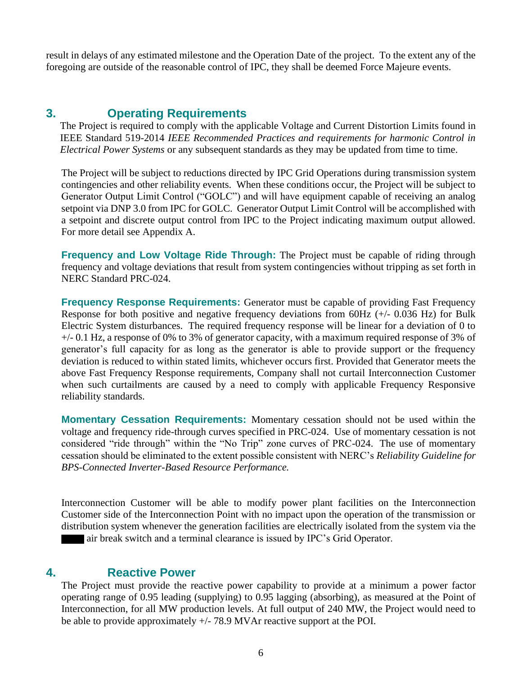result in delays of any estimated milestone and the Operation Date of the project. To the extent any of the foregoing are outside of the reasonable control of IPC, they shall be deemed Force Majeure events.

## **3. Operating Requirements**

The Project is required to comply with the applicable Voltage and Current Distortion Limits found in IEEE Standard 519-2014 *IEEE Recommended Practices and requirements for harmonic Control in Electrical Power Systems* or any subsequent standards as they may be updated from time to time.

The Project will be subject to reductions directed by IPC Grid Operations during transmission system contingencies and other reliability events. When these conditions occur, the Project will be subject to Generator Output Limit Control ("GOLC") and will have equipment capable of receiving an analog setpoint via DNP 3.0 from IPC for GOLC. Generator Output Limit Control will be accomplished with a setpoint and discrete output control from IPC to the Project indicating maximum output allowed. For more detail see Appendix A.

**Frequency and Low Voltage Ride Through:** The Project must be capable of riding through frequency and voltage deviations that result from system contingencies without tripping as set forth in NERC Standard PRC-024.

**Frequency Response Requirements:** Generator must be capable of providing Fast Frequency Response for both positive and negative frequency deviations from 60Hz (+/- 0.036 Hz) for Bulk Electric System disturbances. The required frequency response will be linear for a deviation of 0 to +/- 0.1 Hz, a response of 0% to 3% of generator capacity, with a maximum required response of 3% of generator's full capacity for as long as the generator is able to provide support or the frequency deviation is reduced to within stated limits, whichever occurs first. Provided that Generator meets the above Fast Frequency Response requirements, Company shall not curtail Interconnection Customer when such curtailments are caused by a need to comply with applicable Frequency Responsive reliability standards.

**Momentary Cessation Requirements:** Momentary cessation should not be used within the voltage and frequency ride-through curves specified in PRC-024. Use of momentary cessation is not considered "ride through" within the "No Trip" zone curves of PRC-024. The use of momentary cessation should be eliminated to the extent possible consistent with NERC's *Reliability Guideline for BPS-Connected Inverter-Based Resource Performance.*

Interconnection Customer will be able to modify power plant facilities on the Interconnection Customer side of the Interconnection Point with no impact upon the operation of the transmission or distribution system whenever the generation facilities are electrically isolated from the system via the air break switch and a terminal clearance is issued by IPC's Grid Operator.

## **4. Reactive Power**

The Project must provide the reactive power capability to provide at a minimum a power factor operating range of 0.95 leading (supplying) to 0.95 lagging (absorbing), as measured at the Point of Interconnection, for all MW production levels. At full output of 240 MW, the Project would need to be able to provide approximately +/- 78.9 MVAr reactive support at the POI.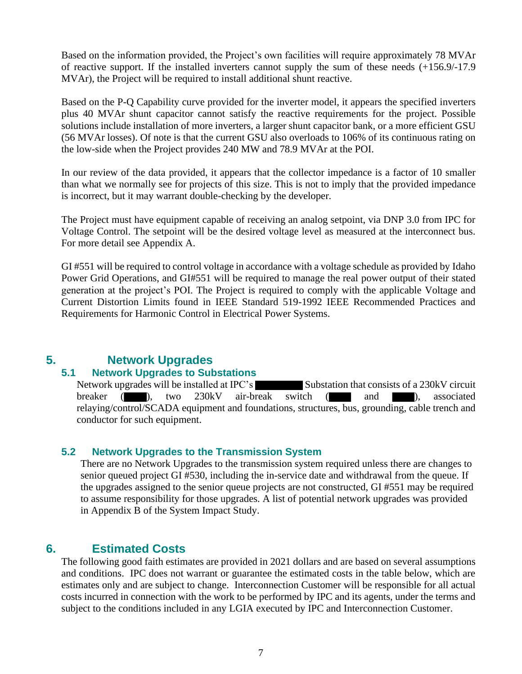Based on the information provided, the Project's own facilities will require approximately 78 MVAr of reactive support. If the installed inverters cannot supply the sum of these needs (+156.9/-17.9 MVAr), the Project will be required to install additional shunt reactive.

Based on the P-Q Capability curve provided for the inverter model, it appears the specified inverters plus 40 MVAr shunt capacitor cannot satisfy the reactive requirements for the project. Possible solutions include installation of more inverters, a larger shunt capacitor bank, or a more efficient GSU (56 MVAr losses). Of note is that the current GSU also overloads to 106% of its continuous rating on the low-side when the Project provides 240 MW and 78.9 MVAr at the POI.

In our review of the data provided, it appears that the collector impedance is a factor of 10 smaller than what we normally see for projects of this size. This is not to imply that the provided impedance is incorrect, but it may warrant double-checking by the developer.

The Project must have equipment capable of receiving an analog setpoint, via DNP 3.0 from IPC for Voltage Control. The setpoint will be the desired voltage level as measured at the interconnect bus. For more detail see Appendix A.

GI #551 will be required to control voltage in accordance with a voltage schedule as provided by Idaho Power Grid Operations, and GI#551 will be required to manage the real power output of their stated generation at the project's POI. The Project is required to comply with the applicable Voltage and Current Distortion Limits found in IEEE Standard 519-1992 IEEE Recommended Practices and Requirements for Harmonic Control in Electrical Power Systems.

## **5. Network Upgrades**

#### **5.1 Network Upgrades to Substations**

Network upgrades will be installed at IPC's Substation that consists of a 230kV circuit breaker ( ), two 230kV air-break switch ( and ), associated relaying/control/SCADA equipment and foundations, structures, bus, grounding, cable trench and conductor for such equipment.

#### **5.2 Network Upgrades to the Transmission System**

There are no Network Upgrades to the transmission system required unless there are changes to senior queued project GI #530, including the in-service date and withdrawal from the queue. If the upgrades assigned to the senior queue projects are not constructed, GI #551 may be required to assume responsibility for those upgrades. A list of potential network upgrades was provided in Appendix B of the System Impact Study.

## **6. Estimated Costs**

The following good faith estimates are provided in 2021 dollars and are based on several assumptions and conditions. IPC does not warrant or guarantee the estimated costs in the table below, which are estimates only and are subject to change. Interconnection Customer will be responsible for all actual costs incurred in connection with the work to be performed by IPC and its agents, under the terms and subject to the conditions included in any LGIA executed by IPC and Interconnection Customer.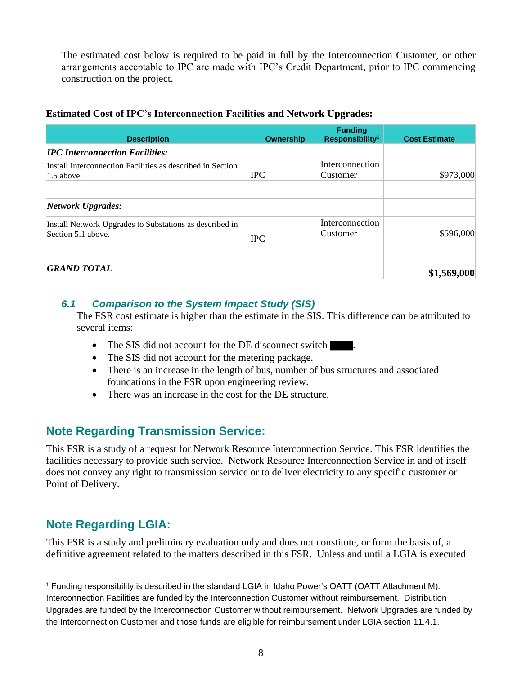The estimated cost below is required to be paid in full by the Interconnection Customer, or other arrangements acceptable to IPC are made with IPC's Credit Department, prior to IPC commencing construction on the project.

#### **Estimated Cost of IPC's Interconnection Facilities and Network Upgrades:**

| <b>Description</b>                                                            | Ownership  | <b>Funding</b><br>Responsibility <sup>1</sup> | <b>Cost Estimate</b> |
|-------------------------------------------------------------------------------|------------|-----------------------------------------------|----------------------|
| <b>IPC</b> Interconnection Facilities:                                        |            |                                               |                      |
| Install Interconnection Facilities as described in Section<br>$1.5$ above.    | <b>IPC</b> | <b>Interconnection</b><br>Customer            | \$973,000            |
| <b>Network Upgrades:</b>                                                      |            |                                               |                      |
| Install Network Upgrades to Substations as described in<br>Section 5.1 above. | <b>IPC</b> | <b>Interconnection</b><br>Customer            | \$596,000            |
| <b>GRAND TOTAL</b>                                                            |            |                                               | \$1,569,000          |

#### *6.1 Comparison to the System Impact Study (SIS)*

The FSR cost estimate is higher than the estimate in the SIS. This difference can be attributed to several items:

- The SIS did not account for the DE disconnect switch
- The SIS did not account for the metering package.
- There is an increase in the length of bus, number of bus structures and associated foundations in the FSR upon engineering review.
- There was an increase in the cost for the DE structure.

## **Note Regarding Transmission Service:**

This FSR is a study of a request for Network Resource Interconnection Service. This FSR identifies the facilities necessary to provide such service. Network Resource Interconnection Service in and of itself does not convey any right to transmission service or to deliver electricity to any specific customer or Point of Delivery.

## **Note Regarding LGIA:**

This FSR is a study and preliminary evaluation only and does not constitute, or form the basis of, a definitive agreement related to the matters described in this FSR. Unless and until a LGIA is executed

<sup>1</sup> Funding responsibility is described in the standard LGIA in Idaho Power's OATT (OATT Attachment M). Interconnection Facilities are funded by the Interconnection Customer without reimbursement. Distribution Upgrades are funded by the Interconnection Customer without reimbursement. Network Upgrades are funded by the Interconnection Customer and those funds are eligible for reimbursement under LGIA section 11.4.1.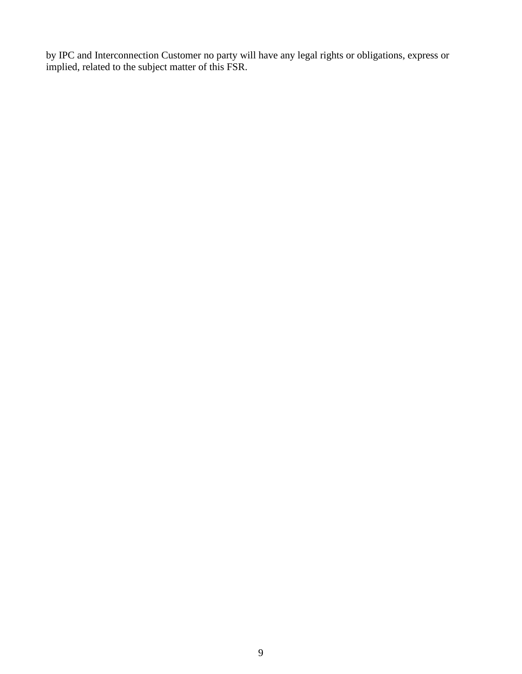by IPC and Interconnection Customer no party will have any legal rights or obligations, express or implied, related to the subject matter of this FSR.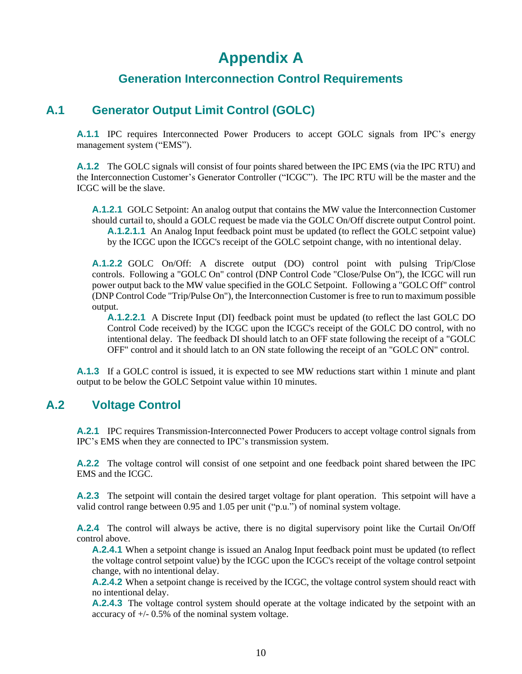# **Appendix A**

## **Generation Interconnection Control Requirements**

## **A.1 Generator Output Limit Control (GOLC)**

**A.1.1** IPC requires Interconnected Power Producers to accept GOLC signals from IPC's energy management system ("EMS").

**A.1.2** The GOLC signals will consist of four points shared between the IPC EMS (via the IPC RTU) and the Interconnection Customer's Generator Controller ("ICGC"). The IPC RTU will be the master and the ICGC will be the slave.

**A.1.2.1** GOLC Setpoint: An analog output that contains the MW value the Interconnection Customer should curtail to, should a GOLC request be made via the GOLC On/Off discrete output Control point. **A.1.2.1.1** An Analog Input feedback point must be updated (to reflect the GOLC setpoint value) by the ICGC upon the ICGC's receipt of the GOLC setpoint change, with no intentional delay.

**A.1.2.2** GOLC On/Off: A discrete output (DO) control point with pulsing Trip/Close controls. Following a "GOLC On" control (DNP Control Code "Close/Pulse On"), the ICGC will run power output back to the MW value specified in the GOLC Setpoint. Following a "GOLC Off" control (DNP Control Code "Trip/Pulse On"), the Interconnection Customer is free to run to maximum possible output.

**A.1.2.2.1** A Discrete Input (DI) feedback point must be updated (to reflect the last GOLC DO Control Code received) by the ICGC upon the ICGC's receipt of the GOLC DO control, with no intentional delay. The feedback DI should latch to an OFF state following the receipt of a "GOLC OFF" control and it should latch to an ON state following the receipt of an "GOLC ON" control.

**A.1.3** If a GOLC control is issued, it is expected to see MW reductions start within 1 minute and plant output to be below the GOLC Setpoint value within 10 minutes.

## **A.2 Voltage Control**

**A.2.1** IPC requires Transmission-Interconnected Power Producers to accept voltage control signals from IPC's EMS when they are connected to IPC's transmission system.

**A.2.2** The voltage control will consist of one setpoint and one feedback point shared between the IPC EMS and the ICGC.

**A.2.3** The setpoint will contain the desired target voltage for plant operation. This setpoint will have a valid control range between 0.95 and 1.05 per unit ("p.u.") of nominal system voltage.

**A.2.4** The control will always be active, there is no digital supervisory point like the Curtail On/Off control above.

**A.2.4.1** When a setpoint change is issued an Analog Input feedback point must be updated (to reflect the voltage control setpoint value) by the ICGC upon the ICGC's receipt of the voltage control setpoint change, with no intentional delay.

**A.2.4.2** When a setpoint change is received by the ICGC, the voltage control system should react with no intentional delay.

**A.2.4.3** The voltage control system should operate at the voltage indicated by the setpoint with an accuracy of +/- 0.5% of the nominal system voltage.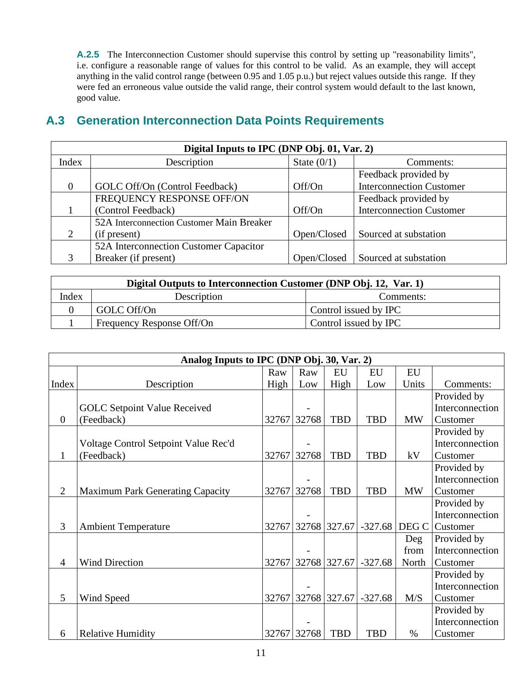A.2.5 The Interconnection Customer should supervise this control by setting up "reasonability limits", i.e. configure a reasonable range of values for this control to be valid. As an example, they will accept anything in the valid control range (between 0.95 and 1.05 p.u.) but reject values outside this range. If they were fed an erroneous value outside the valid range, their control system would default to the last known, good value.

## **A.3 Generation Interconnection Data Points Requirements**

|                | Digital Inputs to IPC (DNP Obj. 01, Var. 2) |               |                                 |  |  |  |  |  |
|----------------|---------------------------------------------|---------------|---------------------------------|--|--|--|--|--|
| Index          | Description                                 | State $(0/1)$ | Comments:                       |  |  |  |  |  |
|                |                                             |               | Feedback provided by            |  |  |  |  |  |
| $\overline{0}$ | GOLC Off/On (Control Feedback)              | Off/On        | <b>Interconnection Customer</b> |  |  |  |  |  |
|                | FREQUENCY RESPONSE OFF/ON                   |               | Feedback provided by            |  |  |  |  |  |
|                | (Control Feedback)                          | Off/On        | <b>Interconnection Customer</b> |  |  |  |  |  |
|                | 52A Interconnection Customer Main Breaker   |               |                                 |  |  |  |  |  |
| 2              | (if present)                                | Open/Closed   | Sourced at substation           |  |  |  |  |  |
|                | 52A Interconnection Customer Capacitor      |               |                                 |  |  |  |  |  |
| 3              | Breaker (if present)                        | Open/Closed   | Sourced at substation           |  |  |  |  |  |

| Digital Outputs to Interconnection Customer (DNP Obj. 12, Var. 1) |                           |                       |  |  |  |  |  |
|-------------------------------------------------------------------|---------------------------|-----------------------|--|--|--|--|--|
| Index                                                             | Description               | Comments:             |  |  |  |  |  |
|                                                                   | GOLC Off/On               | Control issued by IPC |  |  |  |  |  |
|                                                                   | Frequency Response Off/On | Control issued by IPC |  |  |  |  |  |

|                | Analog Inputs to IPC (DNP Obj. 30, Var. 2) |      |             |                    |            |           |                 |  |
|----------------|--------------------------------------------|------|-------------|--------------------|------------|-----------|-----------------|--|
|                |                                            | Raw  | Raw         | EU                 | EU         | EU        |                 |  |
| Index          | Description                                | High | Low         | High               | Low        | Units     | Comments:       |  |
|                |                                            |      |             |                    |            |           | Provided by     |  |
|                | <b>GOLC</b> Setpoint Value Received        |      |             |                    |            |           | Interconnection |  |
| $\overline{0}$ | (Feedback)                                 |      | 32767 32768 | <b>TBD</b>         | <b>TBD</b> | <b>MW</b> | Customer        |  |
|                |                                            |      |             |                    |            |           | Provided by     |  |
|                | Voltage Control Setpoint Value Rec'd       |      |             |                    |            |           | Interconnection |  |
| $\mathbf{1}$   | (Feedback)                                 |      | 32767 32768 | <b>TBD</b>         | <b>TBD</b> | kV        | Customer        |  |
|                |                                            |      |             |                    |            |           | Provided by     |  |
|                |                                            |      |             |                    |            |           | Interconnection |  |
| $\overline{2}$ | Maximum Park Generating Capacity           |      | 32767 32768 | <b>TBD</b>         | <b>TBD</b> | <b>MW</b> | Customer        |  |
|                |                                            |      |             |                    |            |           | Provided by     |  |
|                |                                            |      |             |                    |            |           | Interconnection |  |
| 3              | <b>Ambient Temperature</b>                 |      |             | 32767 32768 327.67 | $-327.68$  | DEG C     | Customer        |  |
|                |                                            |      |             |                    |            | Deg       | Provided by     |  |
|                |                                            |      |             |                    |            | from      | Interconnection |  |
| 4              | <b>Wind Direction</b>                      |      |             | 32767 32768 327.67 | $-327.68$  | North     | Customer        |  |
|                |                                            |      |             |                    |            |           | Provided by     |  |
|                |                                            |      |             |                    |            |           | Interconnection |  |
| 5              | Wind Speed                                 |      |             | 32767 32768 327.67 | $-327.68$  | M/S       | Customer        |  |
|                |                                            |      |             |                    |            |           | Provided by     |  |
|                |                                            |      |             |                    |            |           | Interconnection |  |
| 6              | <b>Relative Humidity</b>                   |      | 32767 32768 | <b>TBD</b>         | <b>TBD</b> | $\%$      | Customer        |  |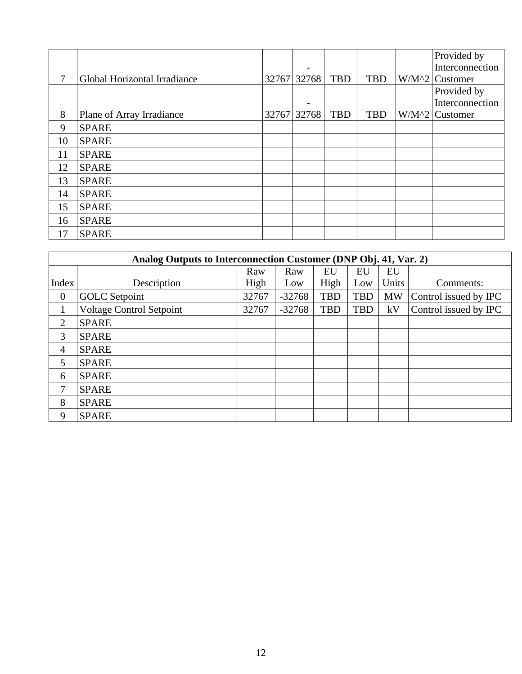|    |                              |                          |            |            | Provided by      |
|----|------------------------------|--------------------------|------------|------------|------------------|
|    |                              | $\overline{a}$           |            |            | Interconnection  |
| 7  | Global Horizontal Irradiance | 32767 32768              | <b>TBD</b> | <b>TBD</b> | $W/M^2$ Customer |
|    |                              |                          |            |            | Provided by      |
|    |                              | $\overline{\phantom{0}}$ |            |            | Interconnection  |
| 8  | Plane of Array Irradiance    | 32767 32768              | <b>TBD</b> | <b>TBD</b> | $W/M^2$ Customer |
| 9  | <b>SPARE</b>                 |                          |            |            |                  |
| 10 | <b>SPARE</b>                 |                          |            |            |                  |
| 11 | <b>SPARE</b>                 |                          |            |            |                  |
| 12 | <b>SPARE</b>                 |                          |            |            |                  |
| 13 | <b>SPARE</b>                 |                          |            |            |                  |
| 14 | <b>SPARE</b>                 |                          |            |            |                  |
| 15 | <b>SPARE</b>                 |                          |            |            |                  |
| 16 | <b>SPARE</b>                 |                          |            |            |                  |
| 17 | <b>SPARE</b>                 |                          |            |            |                  |

|                | Analog Outputs to Interconnection Customer (DNP Obj. 41, Var. 2) |       |          |            |            |           |                       |  |  |
|----------------|------------------------------------------------------------------|-------|----------|------------|------------|-----------|-----------------------|--|--|
|                |                                                                  | Raw   | Raw      | EU         | EU         | EU        |                       |  |  |
| Index          | Description                                                      | High  | Low      | High       | Low        | Units     | Comments:             |  |  |
| $\mathbf{0}$   | <b>GOLC</b> Setpoint                                             | 32767 | $-32768$ | <b>TBD</b> | <b>TBD</b> | <b>MW</b> | Control issued by IPC |  |  |
|                | <b>Voltage Control Setpoint</b>                                  | 32767 | $-32768$ | <b>TBD</b> | <b>TBD</b> | kV        | Control issued by IPC |  |  |
| $\overline{2}$ | <b>SPARE</b>                                                     |       |          |            |            |           |                       |  |  |
| 3              | <b>SPARE</b>                                                     |       |          |            |            |           |                       |  |  |
| $\overline{4}$ | <b>SPARE</b>                                                     |       |          |            |            |           |                       |  |  |
| 5              | <b>SPARE</b>                                                     |       |          |            |            |           |                       |  |  |
| 6              | <b>SPARE</b>                                                     |       |          |            |            |           |                       |  |  |
| 7              | <b>SPARE</b>                                                     |       |          |            |            |           |                       |  |  |
| 8              | <b>SPARE</b>                                                     |       |          |            |            |           |                       |  |  |
| 9              | <b>SPARE</b>                                                     |       |          |            |            |           |                       |  |  |